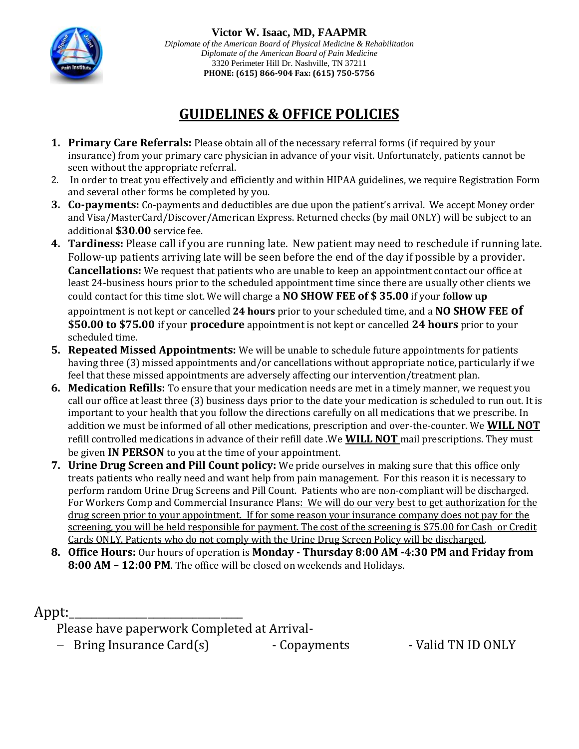

**Victor W. Isaac, MD, FAAPMR** *Diplomate of the American Board of Physical Medicine & Rehabilitation Diplomate of the American Board of Pain Medicine* 3320 Perimeter Hill Dr. Nashville, TN 37211 **PHONE: (615) 866-904 Fax: (615) 750-5756**

# **GUIDELINES & OFFICE POLICIES**

- **1. Primary Care Referrals:** Please obtain all of the necessary referral forms (if required by your insurance) from your primary care physician in advance of your visit. Unfortunately, patients cannot be seen without the appropriate referral.
- 2. In order to treat you effectively and efficiently and within HIPAA guidelines, we require Registration Form and several other forms be completed by you.
- **3. Co-payments:** Co-payments and deductibles are due upon the patient's arrival. We accept Money order and Visa/MasterCard/Discover/American Express. Returned checks (by mail ONLY) will be subject to an additional **\$30.00** service fee.
- **4. Tardiness:** Please call if you are running late. New patient may need to reschedule if running late. Follow-up patients arriving late will be seen before the end of the day if possible by a provider. **Cancellations:** We request that patients who are unable to keep an appointment contact our office at least 24-business hours prior to the scheduled appointment time since there are usually other clients we could contact for this time slot. We will charge a **NO SHOW FEE of \$ 35.00** if your **follow up**

appointment is not kept or cancelled **24 hours** prior to your scheduled time, and a **NO SHOW FEE of \$50.00 to \$75.00** if your **procedure** appointment is not kept or cancelled **24 hours** prior to your scheduled time.

- **5. Repeated Missed Appointments:** We will be unable to schedule future appointments for patients having three (3) missed appointments and/or cancellations without appropriate notice, particularly if we feel that these missed appointments are adversely affecting our intervention/treatment plan.
- **6. Medication Refills:** To ensure that your medication needs are met in a timely manner, we request you call our office at least three (3) business days prior to the date your medication is scheduled to run out. It is important to your health that you follow the directions carefully on all medications that we prescribe. In addition we must be informed of all other medications, prescription and over-the-counter. We **WILL NOT**  refill controlled medications in advance of their refill date .We **WILL NOT** mail prescriptions. They must be given **IN PERSON** to you at the time of your appointment.
- **7. Urine Drug Screen and Pill Count policy:** We pride ourselves in making sure that this office only treats patients who really need and want help from pain management. For this reason it is necessary to perform random Urine Drug Screens and Pill Count. Patients who are non-compliant will be discharged. For Workers Comp and Commercial Insurance Plans: We will do our very best to get authorization for the drug screen prior to your appointment. If for some reason your insurance company does not pay for the screening, you will be held responsible for payment. The cost of the screening is \$75.00 for Cash or Credit Cards ONLY. Patients who do not comply with the Urine Drug Screen Policy will be discharged.
- **8. Office Hours:** Our hours of operation is **Monday - Thursday 8:00 AM -4:30 PM and Friday from 8:00 AM – 12:00 PM**. The office will be closed on weekends and Holidays.

# Appt:

Please have paperwork Completed at Arrival-

- Bring Insurance Card(s) - Copayments - Valid TN ID ONLY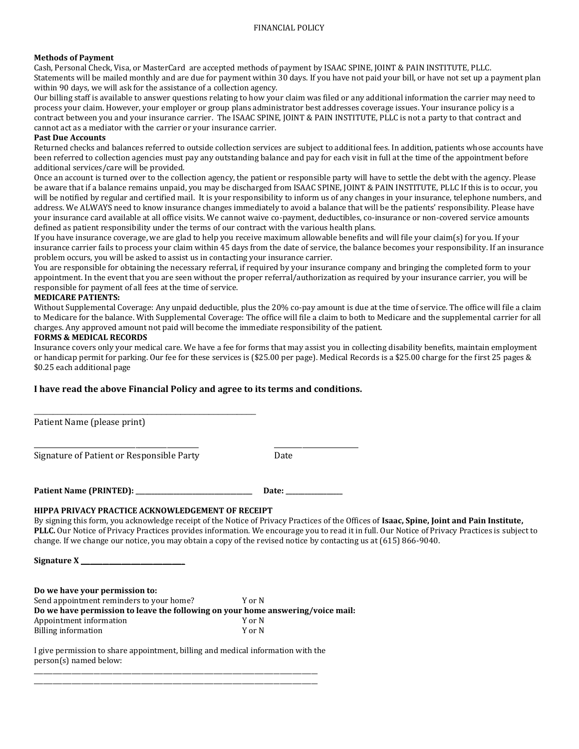#### **Methods of Payment**

Cash, Personal Check, Visa, or MasterCard are accepted methods of payment by ISAAC SPINE, JOINT & PAIN INSTITUTE, PLLC. Statements will be mailed monthly and are due for payment within 30 days. If you have not paid your bill, or have not set up a payment plan within 90 days, we will ask for the assistance of a collection agency.

Our billing staff is available to answer questions relating to how your claim was filed or any additional information the carrier may need to process your claim. However, your employer or group plans administrator best addresses coverage issues. Your insurance policy is a contract between you and your insurance carrier. The ISAAC SPINE, JOINT & PAIN INSTITUTE, PLLC is not a party to that contract and cannot act as a mediator with the carrier or your insurance carrier.

#### **Past Due Accounts**

Returned checks and balances referred to outside collection services are subject to additional fees. In addition, patients whose accounts have been referred to collection agencies must pay any outstanding balance and pay for each visit in full at the time of the appointment before additional services/care will be provided.

Once an account is turned over to the collection agency, the patient or responsible party will have to settle the debt with the agency. Please be aware that if a balance remains unpaid, you may be discharged from ISAAC SPINE, JOINT & PAIN INSTITUTE, PLLC If this is to occur, you will be notified by regular and certified mail. It is your responsibility to inform us of any changes in your insurance, telephone numbers, and address. We ALWAYS need to know insurance changes immediately to avoid a balance that will be the patients' responsibility. Please have your insurance card available at all office visits. We cannot waive co-payment, deductibles, co-insurance or non-covered service amounts defined as patient responsibility under the terms of our contract with the various health plans.

If you have insurance coverage, we are glad to help you receive maximum allowable benefits and will file your claim(s) for you. If your insurance carrier fails to process your claim within 45 days from the date of service, the balance becomes your responsibility. If an insurance problem occurs, you will be asked to assist us in contacting your insurance carrier.

You are responsible for obtaining the necessary referral, if required by your insurance company and bringing the completed form to your appointment. In the event that you are seen without the proper referral/authorization as required by your insurance carrier, you will be responsible for payment of all fees at the time of service.

#### **MEDICARE PATIENTS:**

Without Supplemental Coverage: Any unpaid deductible, plus the 20% co-pay amount is due at the time of service. The office will file a claim to Medicare for the balance. With Supplemental Coverage: The office will file a claim to both to Medicare and the supplemental carrier for all charges. Any approved amount not paid will become the immediate responsibility of the patient.

#### **FORMS & MEDICAL RECORDS**

Insurance covers only your medical care. We have a fee for forms that may assist you in collecting disability benefits, maintain employment or handicap permit for parking. Our fee for these services is (\$25.00 per page). Medical Records is a \$25.00 charge for the first 25 pages & \$0.25 each additional page

#### **I have read the above Financial Policy and agree to its terms and conditions.**

\_\_\_\_\_\_\_\_\_\_\_\_\_\_\_\_\_\_\_\_\_\_\_\_\_\_\_\_\_\_\_\_\_\_\_\_\_\_\_\_\_\_\_\_\_\_\_ Patient Name (please print) \_\_\_\_\_\_\_\_\_\_\_\_\_\_\_\_\_\_\_\_\_\_\_\_\_\_\_\_\_\_\_\_\_\_\_\_\_\_\_\_\_\_\_\_\_\_\_ \_\_\_\_\_\_\_\_\_\_\_\_\_\_\_\_\_\_\_\_\_\_\_\_ Signature of Patient or Responsible Party Date **Patient Name (PRINTED): \_\_\_\_\_\_\_\_\_\_\_\_\_\_\_\_\_\_\_\_\_\_\_\_\_\_\_\_\_\_\_\_\_\_\_\_\_ Date: \_\_\_\_\_\_\_\_\_\_\_\_\_\_\_\_\_\_ HIPPA PRIVACY PRACTICE ACKNOWLEDGEMENT OF RECEIPT**  By signing this form, you acknowledge receipt of the Notice of Privacy Practices of the Offices of **Isaac, Spine, Joint and Pain Institute, PLLC.** Our Notice of Privacy Practices provides information. We encourage you to read it in full. Our Notice of Privacy Practices is subject to change. If we change our notice, you may obtain a copy of the revised notice by contacting us at (615) 866-9040.

**Signature X** \_\_\_\_\_\_\_\_\_\_\_\_\_\_\_\_\_\_\_\_\_\_\_\_\_\_\_\_\_\_\_\_\_

**Do we have your permission to:** Send appointment reminders to your home? Y or N **Do we have permission to leave the following on your home answering/voice mail:** Appointment information Y or N Billing information Y or N

I give permission to share appointment, billing and medical information with the person(s) named below: \_\_\_\_\_\_\_\_\_\_\_\_\_\_\_\_\_\_\_\_\_\_\_\_\_\_\_\_\_\_\_\_\_\_\_\_\_\_\_\_\_\_\_\_\_\_\_\_\_\_\_\_\_\_\_\_\_\_\_\_\_\_\_\_\_\_\_\_\_\_\_\_\_\_\_\_\_\_\_\_\_\_\_\_\_\_\_\_\_\_

\_\_\_\_\_\_\_\_\_\_\_\_\_\_\_\_\_\_\_\_\_\_\_\_\_\_\_\_\_\_\_\_\_\_\_\_\_\_\_\_\_\_\_\_\_\_\_\_\_\_\_\_\_\_\_\_\_\_\_\_\_\_\_\_\_\_\_\_\_\_\_\_\_\_\_\_\_\_\_\_\_\_\_\_\_\_\_\_\_\_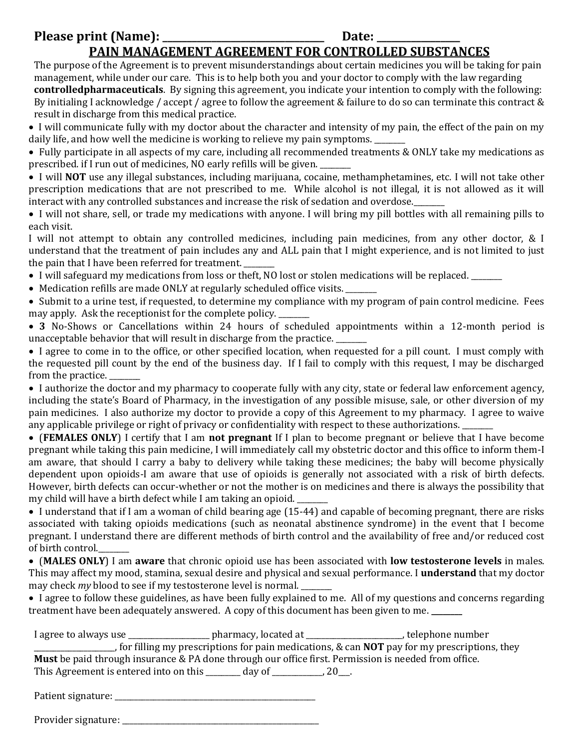# **Please print (Name): \_\_\_\_\_\_\_\_\_\_\_\_\_\_\_\_\_\_\_\_\_\_\_\_\_\_\_\_\_\_\_\_\_ Date: \_\_\_\_\_\_\_\_\_\_\_\_\_\_\_\_\_ PAIN MANAGEMENT AGREEMENT FOR CONTROLLED SUBSTANCES**

The purpose of the Agreement is to prevent misunderstandings about certain medicines you will be taking for pain management, while under our care. This is to help both you and your doctor to comply with the law regarding **controlledpharmaceuticals**. By signing this agreement, you indicate your intention to comply with the following: By initialing I acknowledge / accept / agree to follow the agreement & failure to do so can terminate this contract &

result in discharge from this medical practice.

 I will communicate fully with my doctor about the character and intensity of my pain, the effect of the pain on my daily life, and how well the medicine is working to relieve my pain symptoms.

 Fully participate in all aspects of my care, including all recommended treatments & ONLY take my medications as prescribed. if I run out of medicines, NO early refills will be given.

 I will **NOT** use any illegal substances, including marijuana, cocaine, methamphetamines, etc. I will not take other prescription medications that are not prescribed to me. While alcohol is not illegal, it is not allowed as it will interact with any controlled substances and increase the risk of sedation and overdose.

 I will not share, sell, or trade my medications with anyone. I will bring my pill bottles with all remaining pills to each visit.

I will not attempt to obtain any controlled medicines, including pain medicines, from any other doctor, & I understand that the treatment of pain includes any and ALL pain that I might experience, and is not limited to just the pain that I have been referred for treatment.

- I will safeguard my medications from loss or theft, NO lost or stolen medications will be replaced. \_\_\_\_\_\_\_
- Medication refills are made ONLY at regularly scheduled office visits.

 Submit to a urine test, if requested, to determine my compliance with my program of pain control medicine. Fees may apply. Ask the receptionist for the complete policy.

 **3** No-Shows or Cancellations within 24 hours of scheduled appointments within a 12-month period is unacceptable behavior that will result in discharge from the practice. \_\_\_\_\_\_\_\_

 I agree to come in to the office, or other specified location, when requested for a pill count. I must comply with the requested pill count by the end of the business day. If I fail to comply with this request, I may be discharged from the practice.

 I authorize the doctor and my pharmacy to cooperate fully with any city, state or federal law enforcement agency, including the state's Board of Pharmacy, in the investigation of any possible misuse, sale, or other diversion of my pain medicines. I also authorize my doctor to provide a copy of this Agreement to my pharmacy. I agree to waive any applicable privilege or right of privacy or confidentiality with respect to these authorizations. \_\_\_\_\_\_\_\_

 (**FEMALES ONLY**) I certify that I am **not pregnant** If I plan to become pregnant or believe that I have become pregnant while taking this pain medicine, I will immediately call my obstetric doctor and this office to inform them-I am aware, that should I carry a baby to delivery while taking these medicines; the baby will become physically dependent upon opioids-I am aware that use of opioids is generally not associated with a risk of birth defects. However, birth defects can occur-whether or not the mother is on medicines and there is always the possibility that my child will have a birth defect while I am taking an opioid.

• I understand that if I am a woman of child bearing age (15-44) and capable of becoming pregnant, there are risks associated with taking opioids medications (such as neonatal abstinence syndrome) in the event that I become pregnant. I understand there are different methods of birth control and the availability of free and/or reduced cost of birth control.

 (**MALES ONLY**) I am **aware** that chronic opioid use has been associated with **low testosterone levels** in males. This may affect my mood, stamina, sexual desire and physical and sexual performance. I **understand** that my doctor may check *my* blood to see if my testosterone level is normal. \_\_\_\_\_\_\_\_

 I agree to follow these guidelines, as have been fully explained to me. All of my questions and concerns regarding treatment have been adequately answered. A copy of this document has been given to me. **\_\_\_\_\_\_\_\_**

| I agree to always use                  | pharmacy, located at                                                                                        | , telephone number |
|----------------------------------------|-------------------------------------------------------------------------------------------------------------|--------------------|
|                                        | , for filling my prescriptions for pain medications, & can <b>NOT</b> pay for my prescriptions, they        |                    |
|                                        | <b>Must</b> be paid through insurance & PA done through our office first. Permission is needed from office. |                    |
| This Agreement is entered into on this | day of<br>20.                                                                                               |                    |

Patient signature: \_\_\_\_\_\_\_\_\_\_\_\_\_\_\_\_\_\_\_\_\_\_\_\_\_\_\_\_\_\_\_\_\_\_\_\_\_\_\_\_\_\_\_\_\_\_\_\_\_\_\_\_

Provider signature: \_\_\_\_\_\_\_\_\_\_\_\_\_\_\_\_\_\_\_\_\_\_\_\_\_\_\_\_\_\_\_\_\_\_\_\_\_\_\_\_\_\_\_\_\_\_\_\_\_\_\_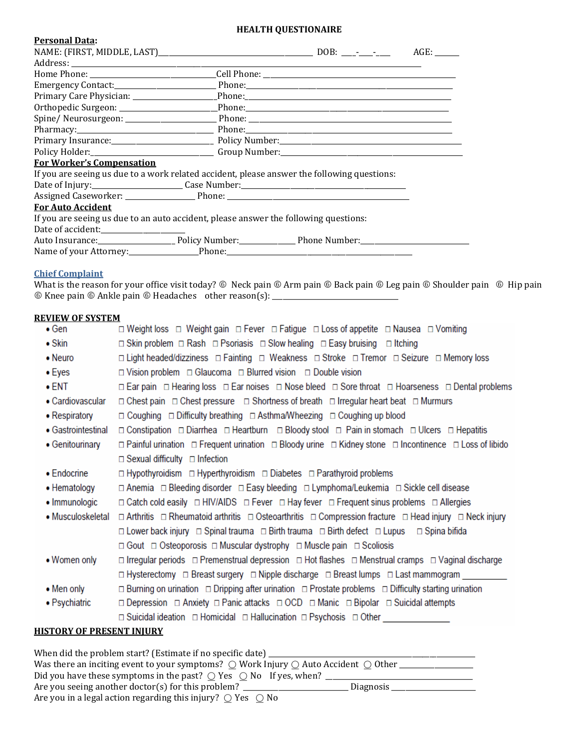### **HEALTH QUESTIONAIRE**

| <b>Personal Data:</b>                                                                       |  |      |
|---------------------------------------------------------------------------------------------|--|------|
|                                                                                             |  | AGE: |
|                                                                                             |  |      |
|                                                                                             |  |      |
|                                                                                             |  |      |
|                                                                                             |  |      |
|                                                                                             |  |      |
|                                                                                             |  |      |
|                                                                                             |  |      |
|                                                                                             |  |      |
|                                                                                             |  |      |
| <b>For Worker's Compensation</b>                                                            |  |      |
| If you are seeing us due to a work related accident, please answer the following questions: |  |      |
|                                                                                             |  |      |
|                                                                                             |  |      |
| <b>For Auto Accident</b>                                                                    |  |      |
| If you are seeing us due to an auto accident, please answer the following questions:        |  |      |
| Date of accident:__________________                                                         |  |      |
|                                                                                             |  |      |
|                                                                                             |  |      |

# **Chief Complaint**

What is the reason for your office visit today?  $\circledast$  Neck pain  $\circledast$  Arm pain  $\circledast$  Back pain  $\circledast$  Shoulder pain  $\circledast$  Hip pain Knee pain Ankle pain Headaches other reason(s): \_\_\_\_\_\_\_\_\_\_\_\_\_\_\_\_\_\_\_\_\_\_\_\_\_\_\_\_\_\_\_\_\_\_\_\_

#### **REVIEW OF SYSTEM**

| $\bullet$ Gen                    | □ Weight loss □ Weight gain □ Fever □ Fatigue □ Loss of appetite □ Nausea □ Vomiting                                                                 |
|----------------------------------|------------------------------------------------------------------------------------------------------------------------------------------------------|
| $\bullet$ Skin                   | <b>□ Skin problem □ Rash □ Psoriasis □ Slow healing □ Easy bruising □ Itching</b>                                                                    |
| • Neuro                          | □ Light headed/dizziness □ Fainting □ Weakness □ Stroke □ Tremor □ Seizure □ Memory loss                                                             |
| $\bullet$ Eyes                   | $\Box$ Vision problem $\Box$ Glaucoma $\Box$ Blurred vision $\Box$ Double vision                                                                     |
| $\bullet$ ent                    | In Ear pain In Hearing loss In Ear noises In Nose bleed In Sore throat In Hoarseness In Dental problems                                              |
| • Cardiovascular                 | $\Box$ Chest pain $\Box$ Chest pressure $\Box$ Shortness of breath $\Box$ Irregular heart beat $\Box$ Murmurs                                        |
| • Respiratory                    | $\Box$ Coughing $\Box$ Difficulty breathing $\Box$ Asthma/Wheezing $\Box$ Coughing up blood                                                          |
| • Gastrointestinal               | □ Constipation □ Diarrhea □ Heartburn □ Bloody stool □ Pain in stomach □ Ulcers □ Hepatitis                                                          |
| • Genitourinary                  | $\Box$ Painful urination $\Box$ Frequent urination $\Box$ Bloody urine $\Box$ Kidney stone $\Box$ Incontinence $\Box$ Loss of libido                 |
|                                  | $\Box$ Sexual difficulty $\Box$ Infection                                                                                                            |
| $\bullet$ Endocrine              | $\Box$ Hypothyroidism $\Box$ Hyperthyroidism $\Box$ Diabetes $\Box$ Parathyroid problems                                                             |
| • Hematology                     | □ Anemia □ Bleeding disorder □ Easy bleeding □ Lymphoma/Leukemia □ Sickle cell disease                                                               |
| • Immunologic                    | $\Box$ Catch cold easily $\Box$ HIV/AIDS $\Box$ Fever $\Box$ Hay fever $\Box$ Frequent sinus problems $\Box$ Allergies                               |
| • Musculoskeletal                | $\Box$ Arthritis $\Box$ Rheumatoid arthritis $\Box$ Osteoarthritis $\Box$ Compression fracture $\Box$ Head injury $\Box$ Neck injury                 |
|                                  | □ Lower back injury □ Spinal trauma □ Birth trauma □ Birth defect □ Lupus □ Spina bifida                                                             |
|                                  | $\Box$ Gout $\Box$ Osteoporosis $\Box$ Muscular dystrophy $\Box$ Muscle pain $\Box$ Scoliosis                                                        |
| • Women only                     | $\Box$ Irregular periods $\Box$ Premenstrual depression $\Box$ Hot flashes $\Box$ Menstrual cramps $\Box$ Vaginal discharge                          |
|                                  | □ Hysterectomy □ Breast surgery □ Nipple discharge □ Breast lumps □ Last mammogram                                                                   |
| $\bullet$ Men only               | $\Box$ Burning on urination $\Box$ Dripping after urination $\Box$ Prostate problems $\Box$ Difficulty starting urination                            |
| • Psychiatric                    | <b> <math>\Box</math> Depression  <math>\Box</math> Anxiety</b> $\Box$ Panic attacks $\Box$ OCD $\Box$ Manic $\Box$ Bipolar $\Box$ Suicidal attempts |
|                                  | □ Suicidal ideation □ Homicidal □ Hallucination □ Psychosis □ Other                                                                                  |
| <b>HISTORY OF PRESENT INJURY</b> |                                                                                                                                                      |

| When did the problem start? (Estimate if no specific date) _                                                                   |           |
|--------------------------------------------------------------------------------------------------------------------------------|-----------|
| Was there an inciting event to your symptoms? $\bigcirc$ Work Injury $\bigcirc$ Auto Accident $\bigcirc$ Other $\overline{\ }$ |           |
| Did you have these symptoms in the past? $\bigcirc$ Yes $\bigcirc$ No If yes, when?                                            |           |
| Are you seeing another doctor(s) for this problem? $\overline{\phantom{a}}$                                                    | Diagnosis |
| Are you in a legal action regarding this injury? $\bigcirc$ Yes $\bigcirc$ No                                                  |           |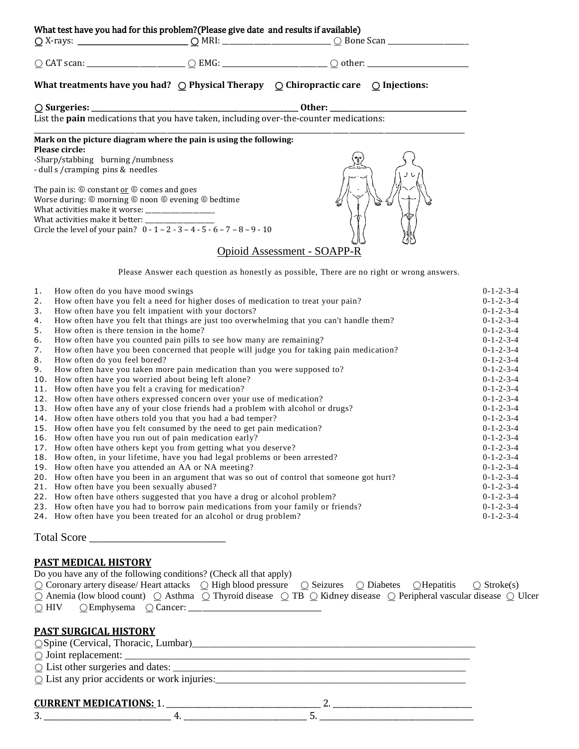|                    | What test have you had for this problem?(Please give date and results if available) |                      |
|--------------------|-------------------------------------------------------------------------------------|----------------------|
| $\bigcirc$ X-rays: | . MRI ه                                                                             | $\bigcirc$ Bone Scan |

| $\bigcap$ CAT scan: |  |
|---------------------|--|

⍜ CAT scan: \_\_\_\_\_\_\_\_\_\_\_\_\_\_\_\_\_\_\_\_\_\_\_\_\_\_\_\_ ⍜ EMG: \_\_\_\_\_\_\_\_\_\_\_\_\_\_\_\_\_\_\_\_\_\_\_\_\_\_\_\_\_\_ ⍜ other: \_\_\_\_\_\_\_\_\_\_\_\_\_\_\_\_\_\_\_\_\_\_\_\_\_\_\_\_\_

|  | orne |
|--|------|
|--|------|

# **What treatments have you had?**  $\bigcirc$  **Physical Therapy**  $\bigcirc$  **Chiropractic care**  $\bigcirc$  **Injections:**

⍜ **Surgeries: \_\_\_\_\_\_\_\_\_\_\_\_\_\_\_\_\_\_\_\_\_\_\_\_\_\_\_\_\_\_\_\_\_\_\_\_\_\_\_\_\_\_\_\_\_\_\_\_\_\_\_\_\_\_\_\_\_\_\_ Other: \_\_\_\_\_\_\_\_\_\_\_\_\_\_\_\_\_\_\_\_\_\_\_\_\_\_\_\_\_\_\_\_\_\_\_\_\_\_\_**

List the **pain** medications that you have taken, including over-the-counter medications:

#### \_\_\_\_\_\_\_\_\_\_\_\_\_\_\_\_\_\_\_\_\_\_\_\_\_\_\_\_\_\_\_\_\_\_\_\_\_\_\_\_\_\_\_\_\_\_\_\_\_\_\_\_\_\_\_\_\_\_\_\_\_\_\_\_\_\_\_\_\_\_\_\_\_\_\_\_\_\_\_\_\_\_\_\_\_\_\_\_\_\_\_\_\_\_\_\_\_\_\_\_\_\_\_\_\_\_\_\_\_\_\_\_\_\_\_\_\_\_\_\_\_\_\_ **Mark on the picture diagram where the pain is using the following: Please circle:**

-Sharp/stabbing burning /numbness - dull s /cramping pins & needles

The pain is:  $\circledcirc$  constant <u>or</u>  $\circledcirc$  comes and goes Worse during:  $@$  morning  $@$  noon  $@$  evening  $@$  bedtime What activities make it worse: \_\_\_\_\_\_\_\_\_\_\_\_\_\_\_\_\_\_\_\_\_\_ What activities make it better: Circle the level of your pain?  $0 - 1 - 2 - 3 - 4 - 5 - 6 - 7 - 8 - 9 - 10$ 



Please Answer each question as honestly as possible, There are no right or wrong answers.

| 1. | How often do you have mood swings                                                            | $0 - 1 - 2 - 3 - 4$ |
|----|----------------------------------------------------------------------------------------------|---------------------|
| 2. | How often have you felt a need for higher doses of medication to treat your pain?            | $0 - 1 - 2 - 3 - 4$ |
| 3. | How often have you felt impatient with your doctors?                                         | $0 - 1 - 2 - 3 - 4$ |
| 4. | How often have you felt that things are just too overwhelming that you can't handle them?    | $0 - 1 - 2 - 3 - 4$ |
| 5. | How often is there tension in the home?                                                      | $0 - 1 - 2 - 3 - 4$ |
| 6. | How often have you counted pain pills to see how many are remaining?                         | $0 - 1 - 2 - 3 - 4$ |
| 7. | How often have you been concerned that people will judge you for taking pain medication?     | $0 - 1 - 2 - 3 - 4$ |
| 8. | How often do you feel bored?                                                                 | $0 - 1 - 2 - 3 - 4$ |
| 9. | How often have you taken more pain medication than you were supposed to?                     | $0 - 1 - 2 - 3 - 4$ |
|    | 10. How often have you worried about being left alone?                                       | $0 - 1 - 2 - 3 - 4$ |
|    | 11. How often have you felt a craving for medication?                                        | $0 - 1 - 2 - 3 - 4$ |
|    | 12. How often have others expressed concern over your use of medication?                     | $0 - 1 - 2 - 3 - 4$ |
|    | 13. How often have any of your close friends had a problem with alcohol or drugs?            | $0 - 1 - 2 - 3 - 4$ |
|    | 14. How often have others told you that you had a bad temper?                                | $0 - 1 - 2 - 3 - 4$ |
|    | 15. How often have you felt consumed by the need to get pain medication?                     | $0 - 1 - 2 - 3 - 4$ |
|    | 16. How often have you run out of pain medication early?                                     | $0 - 1 - 2 - 3 - 4$ |
|    | 17. How often have others kept you from getting what you deserve?                            | $0 - 1 - 2 - 3 - 4$ |
|    | 18. How often, in your lifetime, have you had legal problems or been arrested?               | $0 - 1 - 2 - 3 - 4$ |
|    | 19. How often have you attended an AA or NA meeting?                                         | $0 - 1 - 2 - 3 - 4$ |
|    | 20. How often have you been in an argument that was so out of control that someone got hurt? | $0 - 1 - 2 - 3 - 4$ |
|    | 21. How often have you been sexually abused?                                                 | $0 - 1 - 2 - 3 - 4$ |
|    | 22. How often have others suggested that you have a drug or alcohol problem?                 | $0 - 1 - 2 - 3 - 4$ |
|    | 23. How often have you had to borrow pain medications from your family or friends?           | $0 - 1 - 2 - 3 - 4$ |
|    | 24. How often have you been treated for an alcohol or drug problem?                          | $0 - 1 - 2 - 3 - 4$ |
|    |                                                                                              |                     |

Total Score \_\_\_\_\_\_\_\_\_\_\_\_\_\_\_\_\_\_\_\_\_\_\_\_

# **PAST MEDICAL HISTORY**

| Do you have any of the following conditions? (Check all that apply) |                                                           |  |                                                                                                                                                             |  |  |  |  |  |
|---------------------------------------------------------------------|-----------------------------------------------------------|--|-------------------------------------------------------------------------------------------------------------------------------------------------------------|--|--|--|--|--|
|                                                                     |                                                           |  | $\circ$ Coronary artery disease/Heart attacks $\circ$ High blood pressure $\circ$ Seizures $\circ$ Diabetes $\circ$ Hepatitis $\circ$ Stroke(s)             |  |  |  |  |  |
|                                                                     |                                                           |  | $\circ$ Anemia (low blood count) $\circ$ Asthma $\circ$ Thyroid disease $\circ$ TB $\circ$ Kidney disease $\circ$ Peripheral vascular disease $\circ$ Ulcer |  |  |  |  |  |
|                                                                     | $\bigcirc$ HIV $\bigcirc$ Emphysema $\bigcirc$ Cancer: __ |  |                                                                                                                                                             |  |  |  |  |  |

## **PAST SURGICAL HISTORY**

| $\circ$ Joint replacement: $\_\_$                     |
|-------------------------------------------------------|
| $\circ$ List other surgeries and dates: $\frac{1}{1}$ |
| $\circ$ List any prior accidents or work injuries:    |

### **CURRENT MEDICATIONS:** 1. \_\_\_\_\_\_\_\_\_\_\_\_\_\_\_\_\_\_\_\_\_\_\_\_\_\_\_\_\_\_\_\_\_\_\_\_\_\_\_\_ 2. \_\_\_\_\_\_\_\_\_\_\_\_\_\_\_\_\_\_\_\_\_\_\_\_\_\_\_\_\_\_\_\_\_\_\_\_

3. \_\_\_\_\_\_\_\_\_\_\_\_\_\_\_\_\_\_\_\_\_\_\_\_\_\_\_\_\_\_\_\_\_ 4. \_\_\_\_\_\_\_\_\_\_\_\_\_\_\_\_\_\_\_\_\_\_\_\_\_\_\_\_\_\_\_\_ 5. \_\_\_\_\_\_\_\_\_\_\_\_\_\_\_\_\_\_\_\_\_\_\_\_\_\_\_\_\_\_\_\_\_\_\_\_\_\_\_\_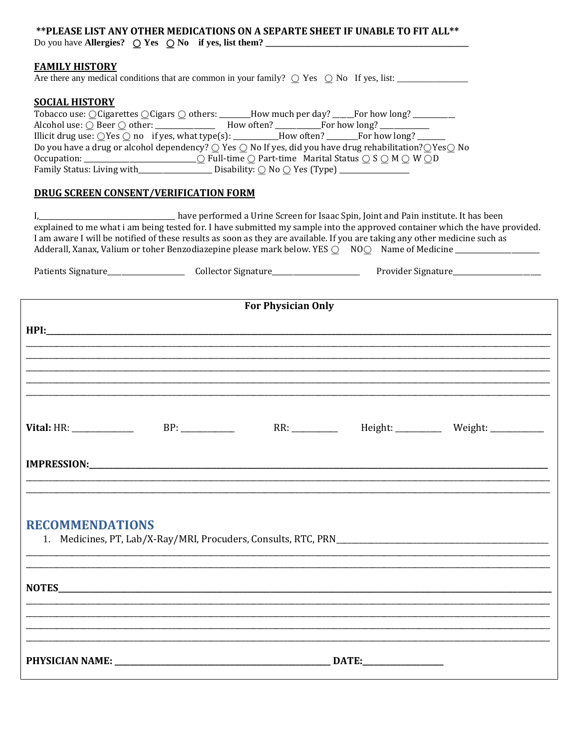| **PLEASE LIST ANY OTHER MEDICATIONS ON A SEPARTE SHEET IF UNABLE TO FIT ALL**<br>Do you have Allergies? $\bigcirc$ Yes $\bigcirc$ No if yes, list them?                                                                                                                                                                                                                                                                                                                                |
|----------------------------------------------------------------------------------------------------------------------------------------------------------------------------------------------------------------------------------------------------------------------------------------------------------------------------------------------------------------------------------------------------------------------------------------------------------------------------------------|
| <b>FAMILY HISTORY</b><br>Are there any medical conditions that are common in your family? $\bigcirc$ Yes $\bigcirc$ No If yes, list:                                                                                                                                                                                                                                                                                                                                                   |
| <b>SOCIAL HISTORY</b><br>Tobacco use: OCigarettes OCigars O others: ______How much per day? ____For how long? ________<br>Illicit drug use: $\bigcirc$ Yes $\bigcirc$ no if yes, what type(s): ________How often? ______For how long? ___<br>Do you have a drug or alcohol dependency? $\bigcirc$ Yes $\bigcirc$ No If yes, did you have drug rehabilitation? $\bigcirc$ Yes $\bigcirc$ No                                                                                             |
| <b>DRUG SCREEN CONSENT/VERIFICATION FORM</b>                                                                                                                                                                                                                                                                                                                                                                                                                                           |
| I, 1. 1. 2011 10: 11 have performed a Urine Screen for Isaac Spin, Joint and Pain institute. It has been<br>explained to me what i am being tested for. I have submitted my sample into the approved container which the have provided.<br>I am aware I will be notified of these results as soon as they are available. If you are taking any other medicine such as<br>Adderall, Xanax, Valium or toher Benzodiazepine please mark below. YES O NOO Name of Medicine _______________ |
|                                                                                                                                                                                                                                                                                                                                                                                                                                                                                        |
| <b>For Physician Only</b>                                                                                                                                                                                                                                                                                                                                                                                                                                                              |
|                                                                                                                                                                                                                                                                                                                                                                                                                                                                                        |
|                                                                                                                                                                                                                                                                                                                                                                                                                                                                                        |
|                                                                                                                                                                                                                                                                                                                                                                                                                                                                                        |
| <b>Vital:</b> HR: _______________<br>BP:<br>Height: ___________ Weight: ___________                                                                                                                                                                                                                                                                                                                                                                                                    |
| <b>IMPRESSION:</b>                                                                                                                                                                                                                                                                                                                                                                                                                                                                     |
|                                                                                                                                                                                                                                                                                                                                                                                                                                                                                        |
|                                                                                                                                                                                                                                                                                                                                                                                                                                                                                        |

# **RECOMMENDATIONS**